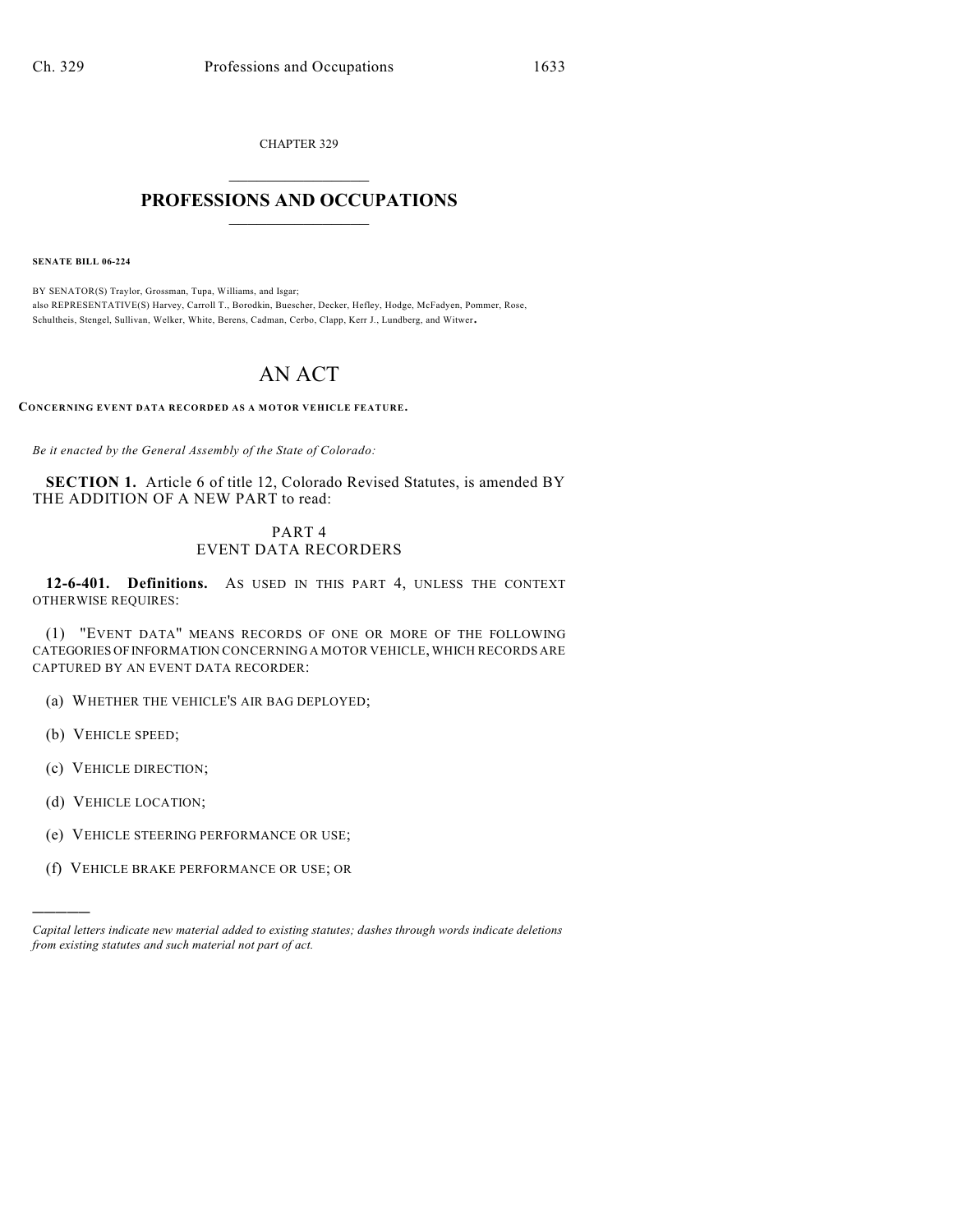CHAPTER 329  $\overline{\phantom{a}}$  . The set of the set of the set of the set of the set of the set of the set of the set of the set of the set of the set of the set of the set of the set of the set of the set of the set of the set of the set o

## **PROFESSIONS AND OCCUPATIONS**  $\frac{1}{2}$  ,  $\frac{1}{2}$  ,  $\frac{1}{2}$  ,  $\frac{1}{2}$  ,  $\frac{1}{2}$  ,  $\frac{1}{2}$

**SENATE BILL 06-224**

BY SENATOR(S) Traylor, Grossman, Tupa, Williams, and Isgar; also REPRESENTATIVE(S) Harvey, Carroll T., Borodkin, Buescher, Decker, Hefley, Hodge, McFadyen, Pommer, Rose, Schultheis, Stengel, Sullivan, Welker, White, Berens, Cadman, Cerbo, Clapp, Kerr J., Lundberg, and Witwer.

## AN ACT

**CONCERNING EVENT DATA RECORDED AS A MOTOR VEHICLE FEATURE.**

*Be it enacted by the General Assembly of the State of Colorado:*

**SECTION 1.** Article 6 of title 12, Colorado Revised Statutes, is amended BY THE ADDITION OF A NEW PART to read:

## PART 4 EVENT DATA RECORDERS

**12-6-401. Definitions.** AS USED IN THIS PART 4, UNLESS THE CONTEXT OTHERWISE REQUIRES:

(1) "EVENT DATA" MEANS RECORDS OF ONE OR MORE OF THE FOLLOWING CATEGORIES OF INFORMATION CONCERNING A MOTOR VEHICLE, WHICH RECORDS ARE CAPTURED BY AN EVENT DATA RECORDER:

(a) WHETHER THE VEHICLE'S AIR BAG DEPLOYED;

(b) VEHICLE SPEED;

)))))

(c) VEHICLE DIRECTION;

(d) VEHICLE LOCATION;

(e) VEHICLE STEERING PERFORMANCE OR USE;

(f) VEHICLE BRAKE PERFORMANCE OR USE; OR

*Capital letters indicate new material added to existing statutes; dashes through words indicate deletions from existing statutes and such material not part of act.*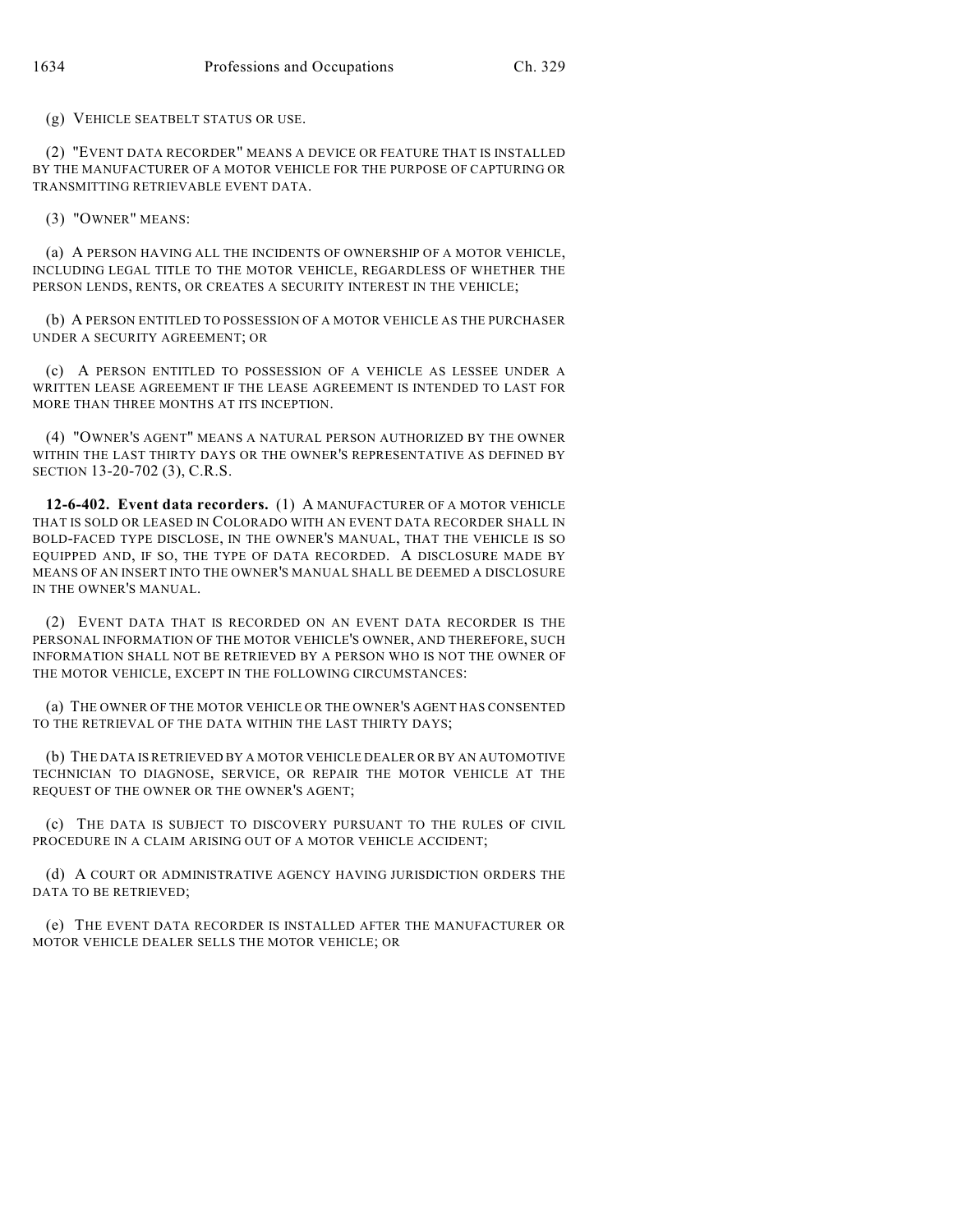(g) VEHICLE SEATBELT STATUS OR USE.

(2) "EVENT DATA RECORDER" MEANS A DEVICE OR FEATURE THAT IS INSTALLED BY THE MANUFACTURER OF A MOTOR VEHICLE FOR THE PURPOSE OF CAPTURING OR TRANSMITTING RETRIEVABLE EVENT DATA.

(3) "OWNER" MEANS:

(a) A PERSON HAVING ALL THE INCIDENTS OF OWNERSHIP OF A MOTOR VEHICLE, INCLUDING LEGAL TITLE TO THE MOTOR VEHICLE, REGARDLESS OF WHETHER THE PERSON LENDS, RENTS, OR CREATES A SECURITY INTEREST IN THE VEHICLE;

(b) A PERSON ENTITLED TO POSSESSION OF A MOTOR VEHICLE AS THE PURCHASER UNDER A SECURITY AGREEMENT; OR

(c) A PERSON ENTITLED TO POSSESSION OF A VEHICLE AS LESSEE UNDER A WRITTEN LEASE AGREEMENT IF THE LEASE AGREEMENT IS INTENDED TO LAST FOR MORE THAN THREE MONTHS AT ITS INCEPTION.

(4) "OWNER'S AGENT" MEANS A NATURAL PERSON AUTHORIZED BY THE OWNER WITHIN THE LAST THIRTY DAYS OR THE OWNER'S REPRESENTATIVE AS DEFINED BY SECTION 13-20-702 (3), C.R.S.

**12-6-402. Event data recorders.** (1) A MANUFACTURER OF A MOTOR VEHICLE THAT IS SOLD OR LEASED IN COLORADO WITH AN EVENT DATA RECORDER SHALL IN BOLD-FACED TYPE DISCLOSE, IN THE OWNER'S MANUAL, THAT THE VEHICLE IS SO EQUIPPED AND, IF SO, THE TYPE OF DATA RECORDED. A DISCLOSURE MADE BY MEANS OF AN INSERT INTO THE OWNER'S MANUAL SHALL BE DEEMED A DISCLOSURE IN THE OWNER'S MANUAL.

(2) EVENT DATA THAT IS RECORDED ON AN EVENT DATA RECORDER IS THE PERSONAL INFORMATION OF THE MOTOR VEHICLE'S OWNER, AND THEREFORE, SUCH INFORMATION SHALL NOT BE RETRIEVED BY A PERSON WHO IS NOT THE OWNER OF THE MOTOR VEHICLE, EXCEPT IN THE FOLLOWING CIRCUMSTANCES:

(a) THE OWNER OF THE MOTOR VEHICLE OR THE OWNER'S AGENT HAS CONSENTED TO THE RETRIEVAL OF THE DATA WITHIN THE LAST THIRTY DAYS;

(b) THE DATA IS RETRIEVED BY A MOTOR VEHICLE DEALER OR BY AN AUTOMOTIVE TECHNICIAN TO DIAGNOSE, SERVICE, OR REPAIR THE MOTOR VEHICLE AT THE REQUEST OF THE OWNER OR THE OWNER'S AGENT;

(c) THE DATA IS SUBJECT TO DISCOVERY PURSUANT TO THE RULES OF CIVIL PROCEDURE IN A CLAIM ARISING OUT OF A MOTOR VEHICLE ACCIDENT;

(d) A COURT OR ADMINISTRATIVE AGENCY HAVING JURISDICTION ORDERS THE DATA TO BE RETRIEVED;

(e) THE EVENT DATA RECORDER IS INSTALLED AFTER THE MANUFACTURER OR MOTOR VEHICLE DEALER SELLS THE MOTOR VEHICLE; OR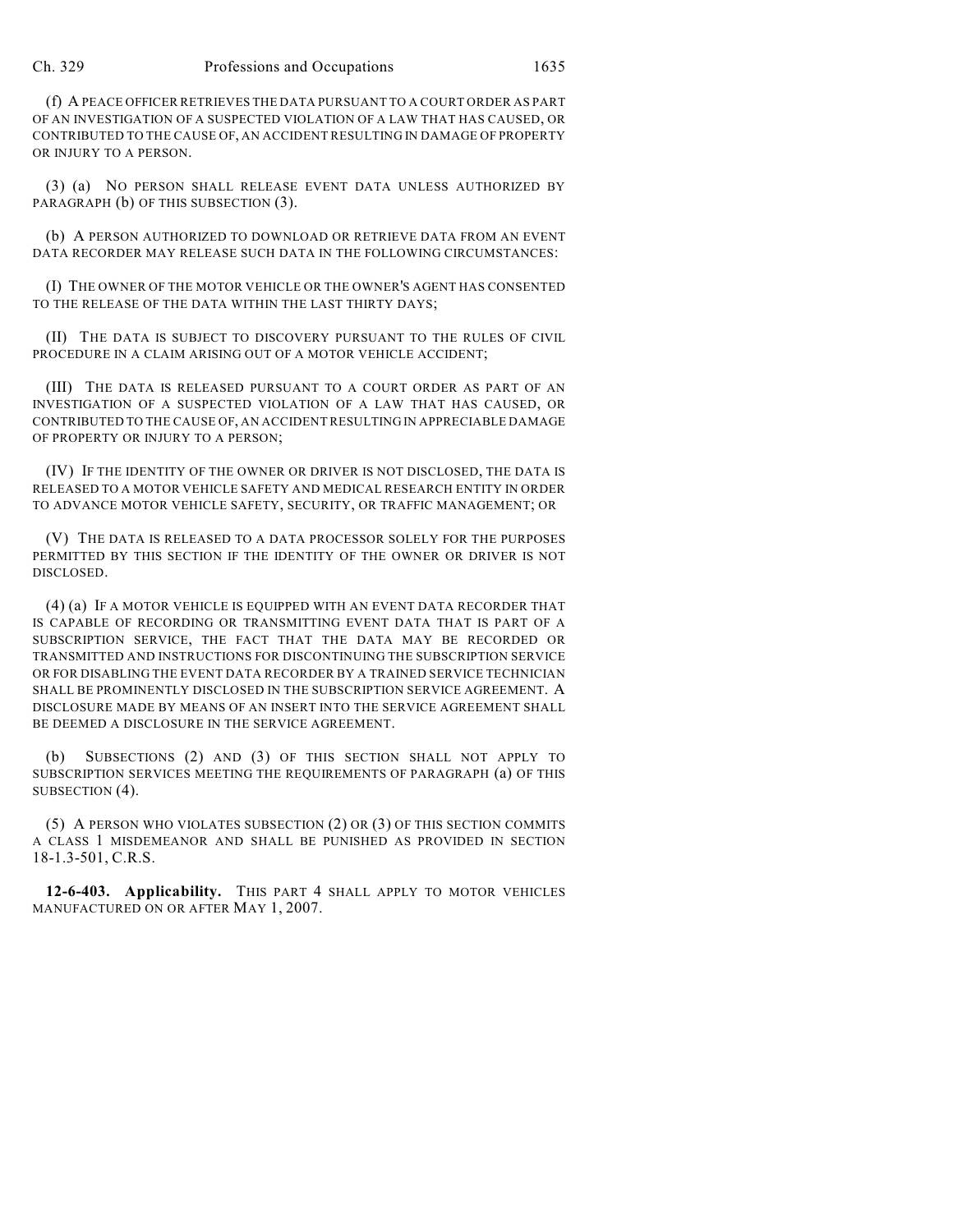(f) A PEACE OFFICER RETRIEVES THE DATA PURSUANT TO A COURT ORDER AS PART OF AN INVESTIGATION OF A SUSPECTED VIOLATION OF A LAW THAT HAS CAUSED, OR CONTRIBUTED TO THE CAUSE OF, AN ACCIDENT RESULTING IN DAMAGE OF PROPERTY OR INJURY TO A PERSON.

(3) (a) NO PERSON SHALL RELEASE EVENT DATA UNLESS AUTHORIZED BY PARAGRAPH (b) OF THIS SUBSECTION (3).

(b) A PERSON AUTHORIZED TO DOWNLOAD OR RETRIEVE DATA FROM AN EVENT DATA RECORDER MAY RELEASE SUCH DATA IN THE FOLLOWING CIRCUMSTANCES:

(I) THE OWNER OF THE MOTOR VEHICLE OR THE OWNER'S AGENT HAS CONSENTED TO THE RELEASE OF THE DATA WITHIN THE LAST THIRTY DAYS;

(II) THE DATA IS SUBJECT TO DISCOVERY PURSUANT TO THE RULES OF CIVIL PROCEDURE IN A CLAIM ARISING OUT OF A MOTOR VEHICLE ACCIDENT;

(III) THE DATA IS RELEASED PURSUANT TO A COURT ORDER AS PART OF AN INVESTIGATION OF A SUSPECTED VIOLATION OF A LAW THAT HAS CAUSED, OR CONTRIBUTED TO THE CAUSE OF, AN ACCIDENT RESULTING IN APPRECIABLE DAMAGE OF PROPERTY OR INJURY TO A PERSON;

(IV) IF THE IDENTITY OF THE OWNER OR DRIVER IS NOT DISCLOSED, THE DATA IS RELEASED TO A MOTOR VEHICLE SAFETY AND MEDICAL RESEARCH ENTITY IN ORDER TO ADVANCE MOTOR VEHICLE SAFETY, SECURITY, OR TRAFFIC MANAGEMENT; OR

(V) THE DATA IS RELEASED TO A DATA PROCESSOR SOLELY FOR THE PURPOSES PERMITTED BY THIS SECTION IF THE IDENTITY OF THE OWNER OR DRIVER IS NOT DISCLOSED.

(4) (a) IF A MOTOR VEHICLE IS EQUIPPED WITH AN EVENT DATA RECORDER THAT IS CAPABLE OF RECORDING OR TRANSMITTING EVENT DATA THAT IS PART OF A SUBSCRIPTION SERVICE, THE FACT THAT THE DATA MAY BE RECORDED OR TRANSMITTED AND INSTRUCTIONS FOR DISCONTINUING THE SUBSCRIPTION SERVICE OR FOR DISABLING THE EVENT DATA RECORDER BY A TRAINED SERVICE TECHNICIAN SHALL BE PROMINENTLY DISCLOSED IN THE SUBSCRIPTION SERVICE AGREEMENT. A DISCLOSURE MADE BY MEANS OF AN INSERT INTO THE SERVICE AGREEMENT SHALL BE DEEMED A DISCLOSURE IN THE SERVICE AGREEMENT.

(b) SUBSECTIONS (2) AND (3) OF THIS SECTION SHALL NOT APPLY TO SUBSCRIPTION SERVICES MEETING THE REQUIREMENTS OF PARAGRAPH (a) OF THIS SUBSECTION (4).

(5) A PERSON WHO VIOLATES SUBSECTION (2) OR (3) OF THIS SECTION COMMITS A CLASS 1 MISDEMEANOR AND SHALL BE PUNISHED AS PROVIDED IN SECTION 18-1.3-501, C.R.S.

**12-6-403. Applicability.** THIS PART 4 SHALL APPLY TO MOTOR VEHICLES MANUFACTURED ON OR AFTER MAY 1, 2007.